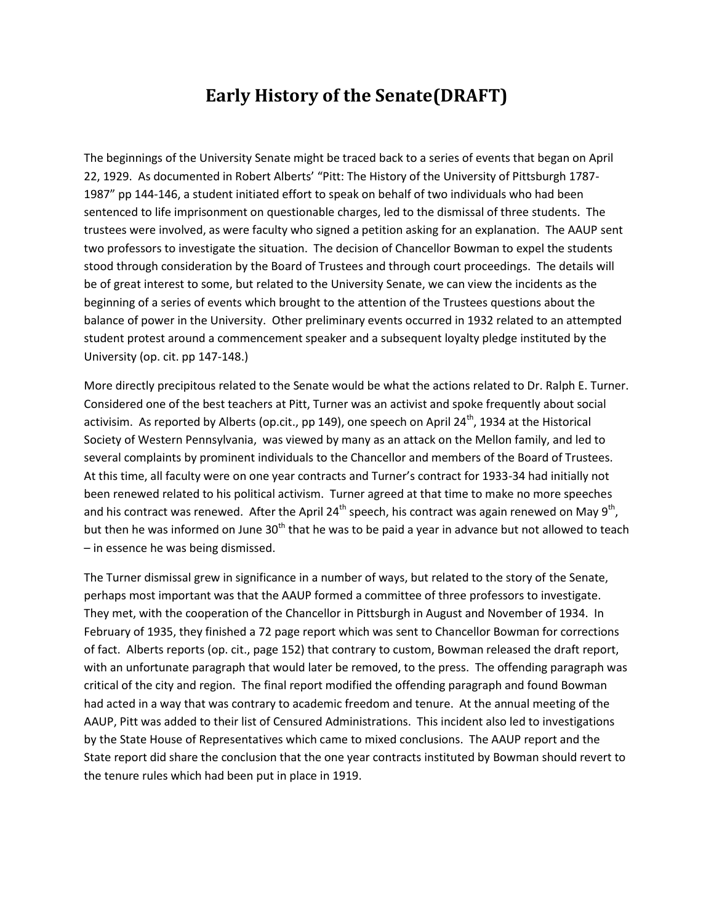## **Early History of the Senate(DRAFT)**

The beginnings of the University Senate might be traced back to a series of events that began on April 22, 1929. As documented in Robert Alberts' "Pitt: The History of the University of Pittsburgh 1787- 1987" pp 144-146, a student initiated effort to speak on behalf of two individuals who had been sentenced to life imprisonment on questionable charges, led to the dismissal of three students. The trustees were involved, as were faculty who signed a petition asking for an explanation. The AAUP sent two professors to investigate the situation. The decision of Chancellor Bowman to expel the students stood through consideration by the Board of Trustees and through court proceedings. The details will be of great interest to some, but related to the University Senate, we can view the incidents as the beginning of a series of events which brought to the attention of the Trustees questions about the balance of power in the University. Other preliminary events occurred in 1932 related to an attempted student protest around a commencement speaker and a subsequent loyalty pledge instituted by the University (op. cit. pp 147-148.)

More directly precipitous related to the Senate would be what the actions related to Dr. Ralph E. Turner. Considered one of the best teachers at Pitt, Turner was an activist and spoke frequently about social activisim. As reported by Alberts (op.cit., pp 149), one speech on April 24<sup>th</sup>, 1934 at the Historical Society of Western Pennsylvania, was viewed by many as an attack on the Mellon family, and led to several complaints by prominent individuals to the Chancellor and members of the Board of Trustees. At this time, all faculty were on one year contracts and Turner's contract for 1933-34 had initially not been renewed related to his political activism. Turner agreed at that time to make no more speeches and his contract was renewed. After the April 24<sup>th</sup> speech, his contract was again renewed on May 9<sup>th</sup>, but then he was informed on June 30<sup>th</sup> that he was to be paid a year in advance but not allowed to teach – in essence he was being dismissed.

The Turner dismissal grew in significance in a number of ways, but related to the story of the Senate, perhaps most important was that the AAUP formed a committee of three professors to investigate. They met, with the cooperation of the Chancellor in Pittsburgh in August and November of 1934. In February of 1935, they finished a 72 page report which was sent to Chancellor Bowman for corrections of fact. Alberts reports (op. cit., page 152) that contrary to custom, Bowman released the draft report, with an unfortunate paragraph that would later be removed, to the press. The offending paragraph was critical of the city and region. The final report modified the offending paragraph and found Bowman had acted in a way that was contrary to academic freedom and tenure. At the annual meeting of the AAUP, Pitt was added to their list of Censured Administrations. This incident also led to investigations by the State House of Representatives which came to mixed conclusions. The AAUP report and the State report did share the conclusion that the one year contracts instituted by Bowman should revert to the tenure rules which had been put in place in 1919.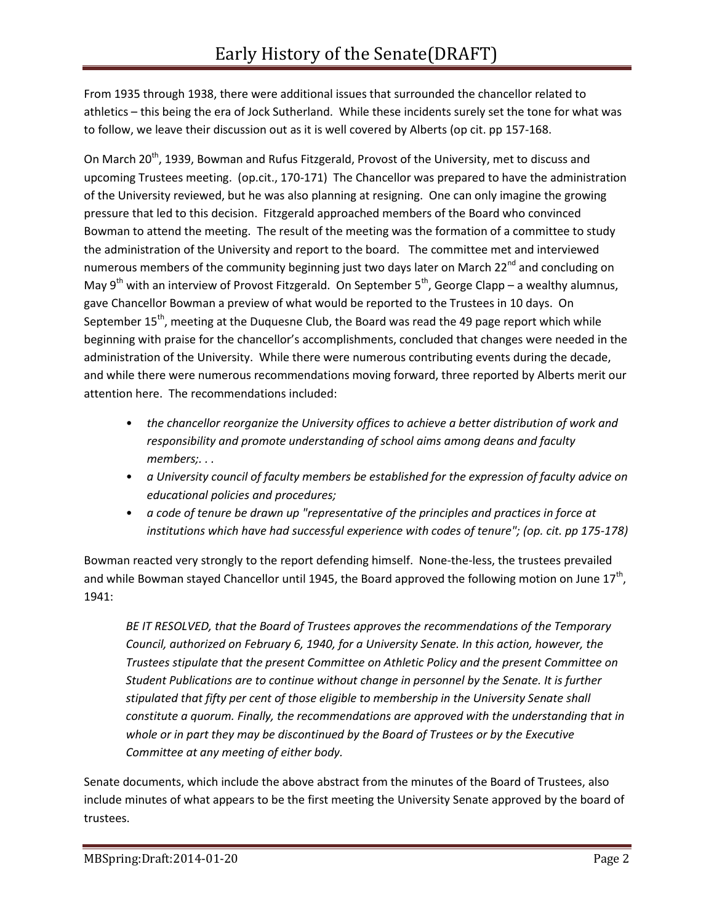From 1935 through 1938, there were additional issues that surrounded the chancellor related to athletics – this being the era of Jock Sutherland. While these incidents surely set the tone for what was to follow, we leave their discussion out as it is well covered by Alberts (op cit. pp 157-168.

On March 20<sup>th</sup>, 1939, Bowman and Rufus Fitzgerald, Provost of the University, met to discuss and upcoming Trustees meeting. (op.cit., 170-171) The Chancellor was prepared to have the administration of the University reviewed, but he was also planning at resigning. One can only imagine the growing pressure that led to this decision. Fitzgerald approached members of the Board who convinced Bowman to attend the meeting. The result of the meeting was the formation of a committee to study the administration of the University and report to the board. The committee met and interviewed numerous members of the community beginning just two days later on March 22<sup>nd</sup> and concluding on May 9<sup>th</sup> with an interview of Provost Fitzgerald. On September 5<sup>th</sup>, George Clapp – a wealthy alumnus, gave Chancellor Bowman a preview of what would be reported to the Trustees in 10 days. On September 15<sup>th</sup>, meeting at the Duquesne Club, the Board was read the 49 page report which while beginning with praise for the chancellor's accomplishments, concluded that changes were needed in the administration of the University. While there were numerous contributing events during the decade, and while there were numerous recommendations moving forward, three reported by Alberts merit our attention here. The recommendations included:

- *the chancellor reorganize the University offices to achieve a better distribution of work and responsibility and promote understanding of school aims among deans and faculty members;. . .*
- *a University council of faculty members be established for the expression of faculty advice on educational policies and procedures;*
- *a code of tenure be drawn up "representative of the principles and practices in force at institutions which have had successful experience with codes of tenure"; (op. cit. pp 175-178)*

Bowman reacted very strongly to the report defending himself. None-the-less, the trustees prevailed and while Bowman stayed Chancellor until 1945, the Board approved the following motion on June 17<sup>th</sup>, 1941:

*BE IT RESOLVED, that the Board of Trustees approves the recommendations of the Temporary Council, authorized on February 6, 1940, for a University Senate. In this action, however, the Trustees stipulate that the present Committee on Athletic Policy and the present Committee on Student Publications are to continue without change in personnel by the Senate. It is further stipulated that fifty per cent of those eligible to membership in the University Senate shall constitute a quorum. Finally, the recommendations are approved with the understanding that in whole or in part they may be discontinued by the Board of Trustees or by the Executive Committee at any meeting of either body.*

Senate documents, which include the above abstract from the minutes of the Board of Trustees, also include minutes of what appears to be the first meeting the University Senate approved by the board of trustees.